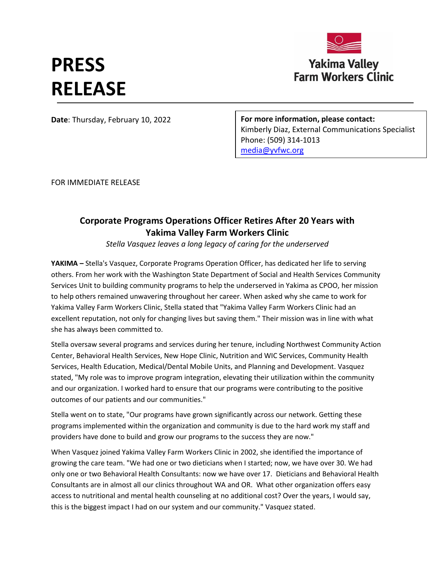## **Yakima Valley Farm Workers Clinic**

## **PRESS RELEASE**

**Date**: Thursday, February 10, 2022

**For more information, please contact:**  Kimberly Diaz, External Communications Specialist Phone: (509) 314-1013 [media@yvfwc.org](mailto:media@yvfwc.org)

FOR IMMEDIATE RELEASE

## **Corporate Programs Operations Officer Retires After 20 Years with Yakima Valley Farm Workers Clinic**

*Stella Vasquez leaves a long legacy of caring for the underserved*

**YAKIMA –** Stella's Vasquez, Corporate Programs Operation Officer, has dedicated her life to serving others. From her work with the Washington State Department of Social and Health Services Community Services Unit to building community programs to help the underserved in Yakima as CPOO, her mission to help others remained unwavering throughout her career. When asked why she came to work for Yakima Valley Farm Workers Clinic, Stella stated that "Yakima Valley Farm Workers Clinic had an excellent reputation, not only for changing lives but saving them." Their mission was in line with what she has always been committed to.

Stella oversaw several programs and services during her tenure, including Northwest Community Action Center, Behavioral Health Services, New Hope Clinic, Nutrition and WIC Services, Community Health Services, Health Education, Medical/Dental Mobile Units, and Planning and Development. Vasquez stated, "My role was to improve program integration, elevating their utilization within the community and our organization. I worked hard to ensure that our programs were contributing to the positive outcomes of our patients and our communities."

Stella went on to state, "Our programs have grown significantly across our network. Getting these programs implemented within the organization and community is due to the hard work my staff and providers have done to build and grow our programs to the success they are now."

When Vasquez joined Yakima Valley Farm Workers Clinic in 2002, she identified the importance of growing the care team. "We had one or two dieticians when I started; now, we have over 30. We had only one or two Behavioral Health Consultants: now we have over 17. Dieticians and Behavioral Health Consultants are in almost all our clinics throughout WA and OR. What other organization offers easy access to nutritional and mental health counseling at no additional cost? Over the years, I would say, this is the biggest impact I had on our system and our community." Vasquez stated.